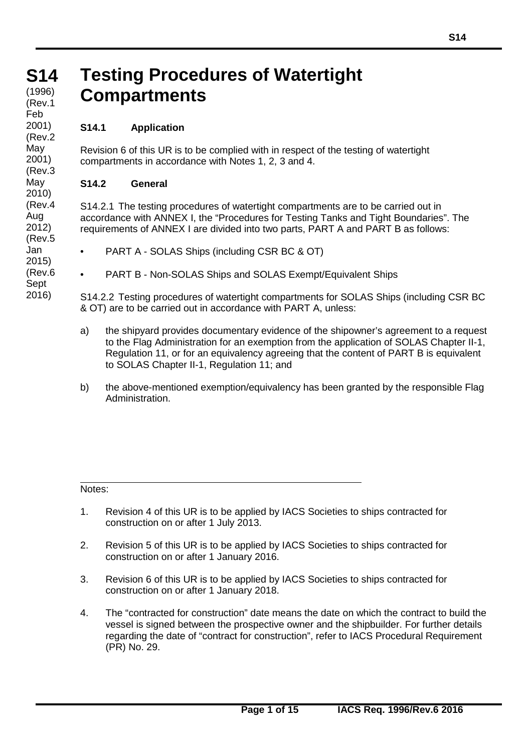#### **S14 S14** (1996) **Testing Procedures of Watertight Compartments** (Rev.1

# **S14.1 Application**

Feb 2001) (Rev.2 May 2001) (Rev.3 May 2010) (Rev.4 Aug 2012) (Rev.5 Jan 2015) (Rev.6 Sept 2016)

Revision 6 of this UR is to be complied with in respect of the testing of watertight compartments in accordance with Notes 1, 2, 3 and 4.

# **S14.2 General**

S14.2.1 The testing procedures of watertight compartments are to be carried out in accordance with ANNEX I, the "Procedures for Testing Tanks and Tight Boundaries". The requirements of ANNEX I are divided into two parts, PART A and PART B as follows:

- PART A SOLAS Ships (including CSR BC & OT)
- PART B Non-SOLAS Ships and SOLAS Exempt/Equivalent Ships

S14.2.2 Testing procedures of watertight compartments for SOLAS Ships (including CSR BC & OT) are to be carried out in accordance with PART A, unless:

- a) the shipyard provides documentary evidence of the shipowner's agreement to a request to the Flag Administration for an exemption from the application of SOLAS Chapter II-1, Regulation 11, or for an equivalency agreeing that the content of PART B is equivalent to SOLAS Chapter II-1, Regulation 11; and
- b) the above-mentioned exemption/equivalency has been granted by the responsible Flag Administration.

Notes:

- 1. Revision 4 of this UR is to be applied by IACS Societies to ships contracted for construction on or after 1 July 2013.
- 2. Revision 5 of this UR is to be applied by IACS Societies to ships contracted for construction on or after 1 January 2016.
- 3. Revision 6 of this UR is to be applied by IACS Societies to ships contracted for construction on or after 1 January 2018.
- 4. The "contracted for construction" date means the date on which the contract to build the vessel is signed between the prospective owner and the shipbuilder. For further details regarding the date of "contract for construction", refer to IACS Procedural Requirement (PR) No. 29.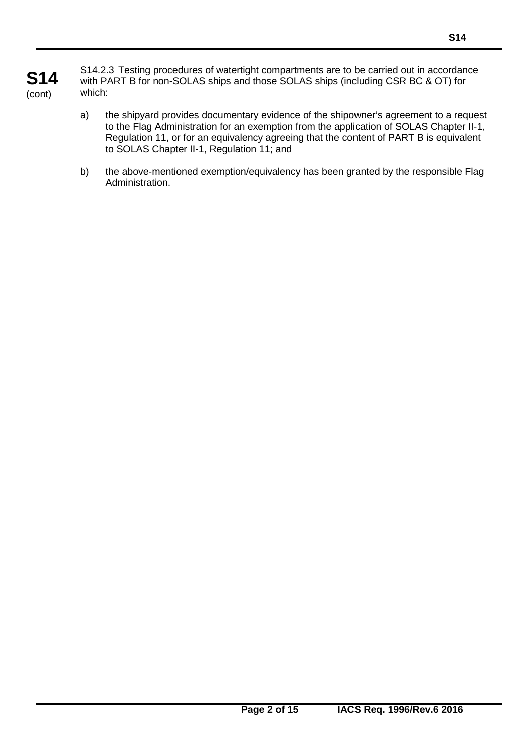# **S14** (cont)

S14.2.3 Testing procedures of watertight compartments are to be carried out in accordance with PART B for non-SOLAS ships and those SOLAS ships (including CSR BC & OT) for which:

- a) the shipyard provides documentary evidence of the shipowner's agreement to a request to the Flag Administration for an exemption from the application of SOLAS Chapter II-1, Regulation 11, or for an equivalency agreeing that the content of PART B is equivalent to SOLAS Chapter II-1, Regulation 11; and
- b) the above-mentioned exemption/equivalency has been granted by the responsible Flag Administration.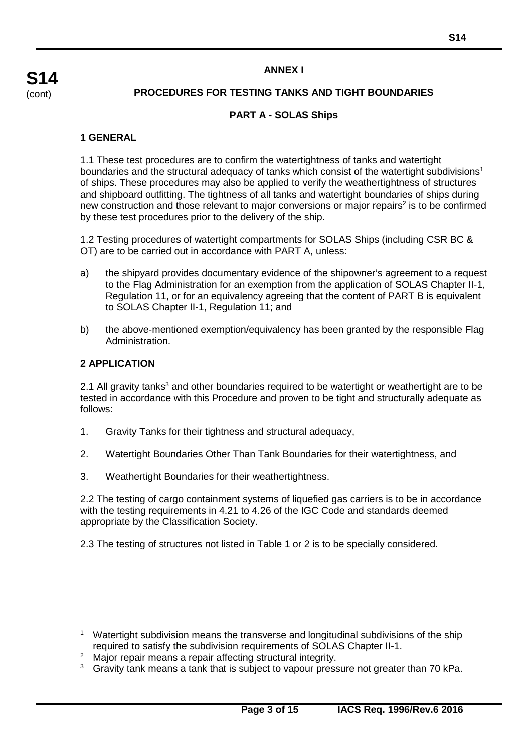#### **ANNEX I**

#### **PROCEDURES FOR TESTING TANKS AND TIGHT BOUNDARIES**

#### **PART A - SOLAS Ships**

#### **1 GENERAL**

1.1 These test procedures are to confirm the watertightness of tanks and watertight boundaries and the structural adequacy of tanks which consist of the watertight subdivisions<sup>1</sup> of ships. These procedures may also be applied to verify the weathertightness of structures and shipboard outfitting. The tightness of all tanks and watertight boundaries of ships during new construction and those relevant to major conversions or major repairs<sup>2</sup> is to be confirmed by these test procedures prior to the delivery of the ship.

1.2 Testing procedures of watertight compartments for SOLAS Ships (including CSR BC & OT) are to be carried out in accordance with PART A, unless:

- a) the shipyard provides documentary evidence of the shipowner's agreement to a request to the Flag Administration for an exemption from the application of SOLAS Chapter II-1, Regulation 11, or for an equivalency agreeing that the content of PART B is equivalent to SOLAS Chapter II-1, Regulation 11; and
- b) the above-mentioned exemption/equivalency has been granted by the responsible Flag Administration.

#### **2 APPLICATION**

2.1 All gravity tanks<sup>3</sup> and other boundaries required to be watertight or weathertight are to be tested in accordance with this Procedure and proven to be tight and structurally adequate as follows:

- 1. Gravity Tanks for their tightness and structural adequacy,
- 2. Watertight Boundaries Other Than Tank Boundaries for their watertightness, and
- 3. Weathertight Boundaries for their weathertightness.

2.2 The testing of cargo containment systems of liquefied gas carriers is to be in accordance with the testing requirements in 4.21 to 4.26 of the IGC Code and standards deemed appropriate by the Classification Society.

2.3 The testing of structures not listed in Table 1 or 2 is to be specially considered.

<sup>&</sup>lt;sup>1</sup> Watertight subdivision means the transverse and longitudinal subdivisions of the ship required to satisfy the subdivision requirements of SOLAS Chapter II-1.

<sup>&</sup>lt;sup>2</sup> Major repair means a repair affecting structural integrity.

 $3$  Gravity tank means a tank that is subject to vapour pressure not greater than 70 kPa.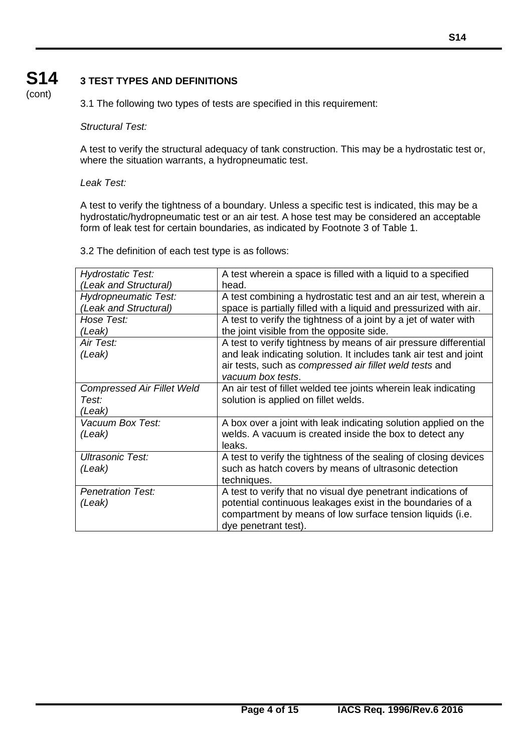# **S14** (cont)

# **3 TEST TYPES AND DEFINITIONS**

3.1 The following two types of tests are specified in this requirement:

#### *Structural Test:*

A test to verify the structural adequacy of tank construction. This may be a hydrostatic test or, where the situation warrants, a hydropneumatic test.

#### *Leak Test:*

A test to verify the tightness of a boundary. Unless a specific test is indicated, this may be a hydrostatic/hydropneumatic test or an air test. A hose test may be considered an acceptable form of leak test for certain boundaries, as indicated by Footnote 3 of Table 1.

3.2 The definition of each test type is as follows:

| <b>Hydrostatic Test:</b>          | A test wherein a space is filled with a liquid to a specified     |
|-----------------------------------|-------------------------------------------------------------------|
| (Leak and Structural)             | head.                                                             |
| <b>Hydropneumatic Test:</b>       | A test combining a hydrostatic test and an air test, wherein a    |
| (Leak and Structural)             | space is partially filled with a liquid and pressurized with air. |
| Hose Test:                        | A test to verify the tightness of a joint by a jet of water with  |
| (Leak)                            | the joint visible from the opposite side.                         |
| Air Test:                         | A test to verify tightness by means of air pressure differential  |
| (Leak)                            | and leak indicating solution. It includes tank air test and joint |
|                                   | air tests, such as compressed air fillet weld tests and           |
|                                   | vacuum box tests.                                                 |
| <b>Compressed Air Fillet Weld</b> | An air test of fillet welded tee joints wherein leak indicating   |
| Test:                             | solution is applied on fillet welds.                              |
| (Leak)                            |                                                                   |
| Vacuum Box Test:                  | A box over a joint with leak indicating solution applied on the   |
| (Leak)                            | welds. A vacuum is created inside the box to detect any           |
|                                   | leaks.                                                            |
| <b>Ultrasonic Test:</b>           | A test to verify the tightness of the sealing of closing devices  |
| (Leak)                            | such as hatch covers by means of ultrasonic detection             |
|                                   | techniques.                                                       |
| <b>Penetration Test:</b>          | A test to verify that no visual dye penetrant indications of      |
| (Leak)                            | potential continuous leakages exist in the boundaries of a        |
|                                   | compartment by means of low surface tension liquids (i.e.         |
|                                   | dye penetrant test).                                              |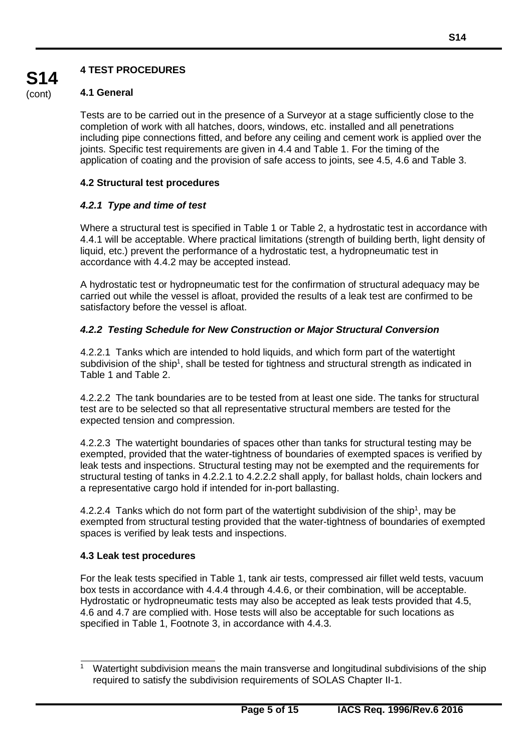# **4 TEST PROCEDURES**

# **4.1 General**

Tests are to be carried out in the presence of a Surveyor at a stage sufficiently close to the completion of work with all hatches, doors, windows, etc. installed and all penetrations including pipe connections fitted, and before any ceiling and cement work is applied over the joints. Specific test requirements are given in 4.4 and Table 1. For the timing of the application of coating and the provision of safe access to joints, see 4.5, 4.6 and Table 3.

# **4.2 Structural test procedures**

# *4.2.1 Type and time of test*

Where a structural test is specified in Table 1 or Table 2, a hydrostatic test in accordance with 4.4.1 will be acceptable. Where practical limitations (strength of building berth, light density of liquid, etc.) prevent the performance of a hydrostatic test, a hydropneumatic test in accordance with 4.4.2 may be accepted instead.

A hydrostatic test or hydropneumatic test for the confirmation of structural adequacy may be carried out while the vessel is afloat, provided the results of a leak test are confirmed to be satisfactory before the vessel is afloat.

# *4.2.2 Testing Schedule for New Construction or Major Structural Conversion*

4.2.2.1 Tanks which are intended to hold liquids, and which form part of the watertight subdivision of the ship<sup>1</sup>, shall be tested for tightness and structural strength as indicated in Table 1 and Table 2.

4.2.2.2 The tank boundaries are to be tested from at least one side. The tanks for structural test are to be selected so that all representative structural members are tested for the expected tension and compression.

4.2.2.3 The watertight boundaries of spaces other than tanks for structural testing may be exempted, provided that the water-tightness of boundaries of exempted spaces is verified by leak tests and inspections. Structural testing may not be exempted and the requirements for structural testing of tanks in 4.2.2.1 to 4.2.2.2 shall apply, for ballast holds, chain lockers and a representative cargo hold if intended for in-port ballasting.

4.2.2.4 Tanks which do not form part of the watertight subdivision of the ship<sup>1</sup>, may be exempted from structural testing provided that the water-tightness of boundaries of exempted spaces is verified by leak tests and inspections.

# **4.3 Leak test procedures**

For the leak tests specified in Table 1, tank air tests, compressed air fillet weld tests, vacuum box tests in accordance with 4.4.4 through 4.4.6, or their combination, will be acceptable. Hydrostatic or hydropneumatic tests may also be accepted as leak tests provided that 4.5, 4.6 and 4.7 are complied with. Hose tests will also be acceptable for such locations as specified in Table 1, Footnote 3, in accordance with 4.4.3.

Watertight subdivision means the main transverse and longitudinal subdivisions of the ship required to satisfy the subdivision requirements of SOLAS Chapter II-1.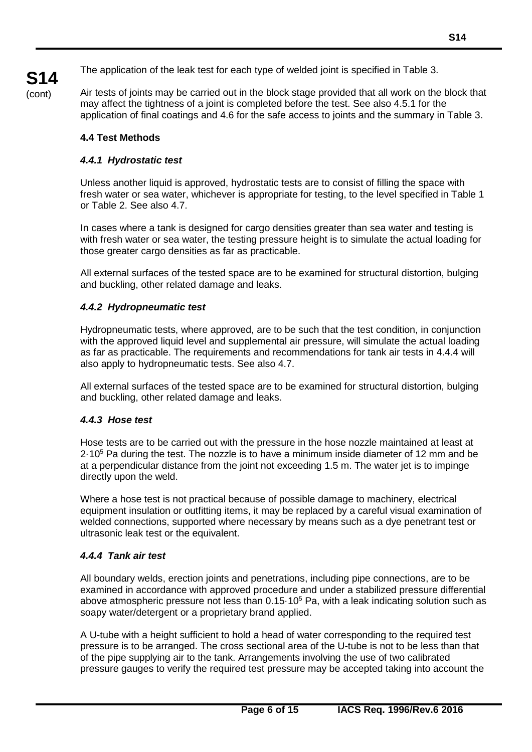(cont)

**S14**

Air tests of joints may be carried out in the block stage provided that all work on the block that may affect the tightness of a joint is completed before the test. See also 4.5.1 for the application of final coatings and 4.6 for the safe access to joints and the summary in Table 3.

# **4.4 Test Methods**

# *4.4.1 Hydrostatic test*

Unless another liquid is approved, hydrostatic tests are to consist of filling the space with fresh water or sea water, whichever is appropriate for testing, to the level specified in Table 1 or Table 2. See also 4.7.

In cases where a tank is designed for cargo densities greater than sea water and testing is with fresh water or sea water, the testing pressure height is to simulate the actual loading for those greater cargo densities as far as practicable.

All external surfaces of the tested space are to be examined for structural distortion, bulging and buckling, other related damage and leaks.

# *4.4.2 Hydropneumatic test*

Hydropneumatic tests, where approved, are to be such that the test condition, in conjunction with the approved liquid level and supplemental air pressure, will simulate the actual loading as far as practicable. The requirements and recommendations for tank air tests in 4.4.4 will also apply to hydropneumatic tests. See also 4.7.

All external surfaces of the tested space are to be examined for structural distortion, bulging and buckling, other related damage and leaks.

# *4.4.3 Hose test*

Hose tests are to be carried out with the pressure in the hose nozzle maintained at least at 2·105 Pa during the test. The nozzle is to have a minimum inside diameter of 12 mm and be at a perpendicular distance from the joint not exceeding 1.5 m. The water jet is to impinge directly upon the weld.

Where a hose test is not practical because of possible damage to machinery, electrical equipment insulation or outfitting items, it may be replaced by a careful visual examination of welded connections, supported where necessary by means such as a dye penetrant test or ultrasonic leak test or the equivalent.

# *4.4.4 Tank air test*

All boundary welds, erection joints and penetrations, including pipe connections, are to be examined in accordance with approved procedure and under a stabilized pressure differential above atmospheric pressure not less than 0.15-10<sup>5</sup> Pa, with a leak indicating solution such as soapy water/detergent or a proprietary brand applied.

A U-tube with a height sufficient to hold a head of water corresponding to the required test pressure is to be arranged. The cross sectional area of the U-tube is not to be less than that of the pipe supplying air to the tank. Arrangements involving the use of two calibrated pressure gauges to verify the required test pressure may be accepted taking into account the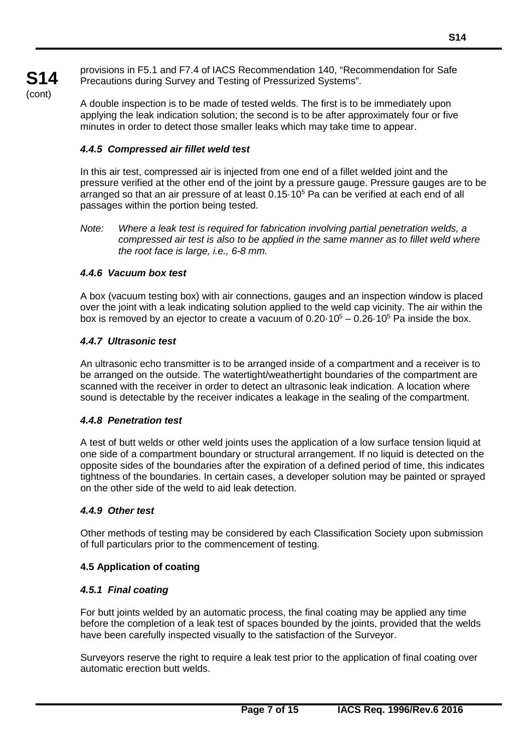provisions in F5.1 and F7.4 of IACS Recommendation 140, "Recommendation for Safe Precautions during Survey and Testing of Pressurized Systems".

A double inspection is to be made of tested welds. The first is to be immediately upon applying the leak indication solution; the second is to be after approximately four or five minutes in order to detect those smaller leaks which may take time to appear.

# *4.4.5 Compressed air fillet weld test*

In this air test, compressed air is injected from one end of a fillet welded joint and the pressure verified at the other end of the joint by a pressure gauge. Pressure gauges are to be arranged so that an air pressure of at least 0.15·105 Pa can be verified at each end of all passages within the portion being tested.

# *4.4.6 Vacuum box test*

**S14** (cont)

> A box (vacuum testing box) with air connections, gauges and an inspection window is placed over the joint with a leak indicating solution applied to the weld cap vicinity. The air within the box is removed by an ejector to create a vacuum of  $0.20 \cdot 10^5 - 0.26 \cdot 10^5$  Pa inside the box.

# *4.4.7 Ultrasonic test*

An ultrasonic echo transmitter is to be arranged inside of a compartment and a receiver is to be arranged on the outside. The watertight/weathertight boundaries of the compartment are scanned with the receiver in order to detect an ultrasonic leak indication. A location where sound is detectable by the receiver indicates a leakage in the sealing of the compartment.

# *4.4.8 Penetration test*

A test of butt welds or other weld joints uses the application of a low surface tension liquid at one side of a compartment boundary or structural arrangement. If no liquid is detected on the opposite sides of the boundaries after the expiration of a defined period of time, this indicates tightness of the boundaries. In certain cases, a developer solution may be painted or sprayed on the other side of the weld to aid leak detection.

# *4.4.9 Other test*

Other methods of testing may be considered by each Classification Society upon submission of full particulars prior to the commencement of testing.

# **4.5 Application of coating**

# *4.5.1 Final coating*

For butt joints welded by an automatic process, the final coating may be applied any time before the completion of a leak test of spaces bounded by the joints, provided that the welds have been carefully inspected visually to the satisfaction of the Surveyor.

Surveyors reserve the right to require a leak test prior to the application of final coating over automatic erection butt welds.

*Note: Where a leak test is required for fabrication involving partial penetration welds, a compressed air test is also to be applied in the same manner as to fillet weld where the root face is large, i.e., 6-8 mm.*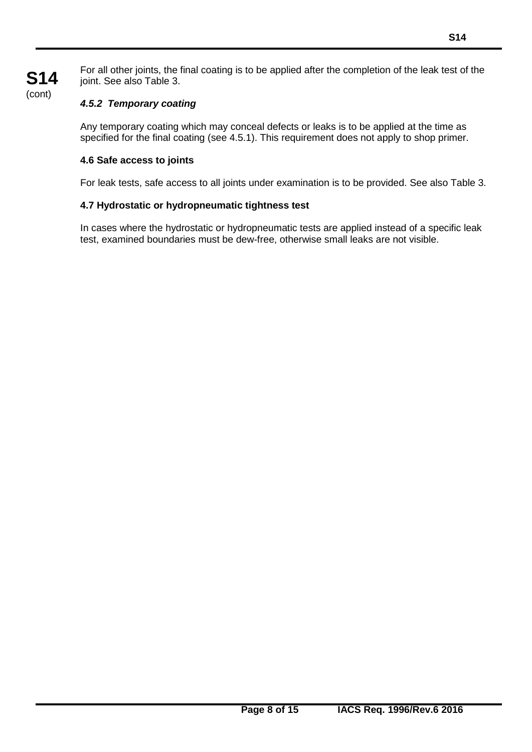For all other joints, the final coating is to be applied after the completion of the leak test of the joint. See also Table 3.

# *4.5.2 Temporary coating*

Any temporary coating which may conceal defects or leaks is to be applied at the time as specified for the final coating (see 4.5.1). This requirement does not apply to shop primer.

#### **4.6 Safe access to joints**

For leak tests, safe access to all joints under examination is to be provided. See also Table 3.

#### **4.7 Hydrostatic or hydropneumatic tightness test**

In cases where the hydrostatic or hydropneumatic tests are applied instead of a specific leak test, examined boundaries must be dew-free, otherwise small leaks are not visible.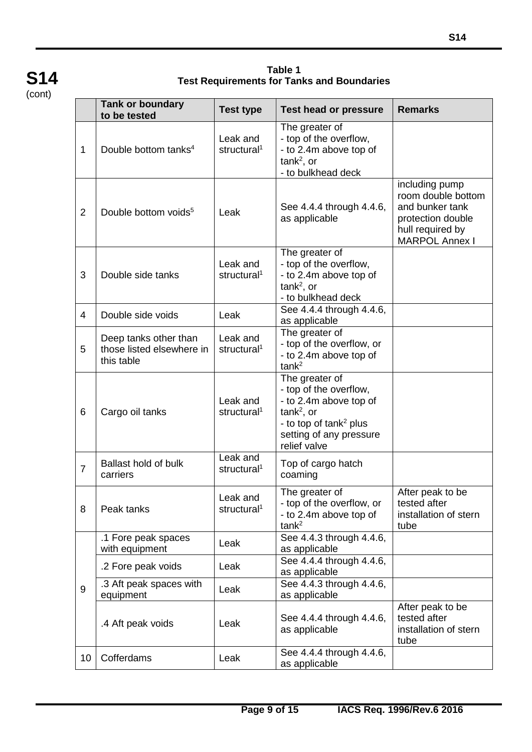**Table 1 Test Requirements for Tanks and Boundaries**

|                | <b>Tank or boundary</b><br>to be tested                          | <b>Test type</b>                    | <b>Test head or pressure</b>                                                                                                                                        | <b>Remarks</b>                                                                                                            |
|----------------|------------------------------------------------------------------|-------------------------------------|---------------------------------------------------------------------------------------------------------------------------------------------------------------------|---------------------------------------------------------------------------------------------------------------------------|
| 1              | Double bottom tanks <sup>4</sup>                                 | Leak and<br>structural <sup>1</sup> | The greater of<br>- top of the overflow,<br>- to 2.4m above top of<br>$tank2$ , or<br>- to bulkhead deck                                                            |                                                                                                                           |
| $\overline{2}$ | Double bottom voids <sup>5</sup>                                 | Leak                                | See 4.4.4 through 4.4.6,<br>as applicable                                                                                                                           | including pump<br>room double bottom<br>and bunker tank<br>protection double<br>hull required by<br><b>MARPOL Annex I</b> |
| 3              | Double side tanks                                                | Leak and<br>structural <sup>1</sup> | The greater of<br>- top of the overflow,<br>- to 2.4m above top of<br>$tank2$ , or<br>- to bulkhead deck                                                            |                                                                                                                           |
| 4              | Double side voids                                                | Leak                                | See 4.4.4 through 4.4.6,<br>as applicable                                                                                                                           |                                                                                                                           |
| 5              | Deep tanks other than<br>those listed elsewhere in<br>this table | Leak and<br>structural <sup>1</sup> | The greater of<br>- top of the overflow, or<br>- to 2.4m above top of<br>tank <sup>2</sup>                                                                          |                                                                                                                           |
| 6              | Cargo oil tanks                                                  | Leak and<br>structural <sup>1</sup> | The greater of<br>- top of the overflow,<br>- to 2.4m above top of<br>$tank2$ , or<br>- to top of tank <sup>2</sup> plus<br>setting of any pressure<br>relief valve |                                                                                                                           |
| $\overline{7}$ | <b>Ballast hold of bulk</b><br>carriers                          | Leak and<br>structural <sup>1</sup> | Top of cargo hatch<br>coaming                                                                                                                                       |                                                                                                                           |
| 8              | Peak tanks                                                       | Leak and<br>structural <sup>1</sup> | The greater of<br>- top of the overflow, or<br>- to 2.4m above top of<br>tank <sup>2</sup>                                                                          | After peak to be<br>tested after<br>installation of stern<br>tube                                                         |
|                | .1 Fore peak spaces<br>with equipment                            | Leak                                | See 4.4.3 through 4.4.6,<br>as applicable                                                                                                                           |                                                                                                                           |
|                | .2 Fore peak voids                                               | Leak                                | See 4.4.4 through 4.4.6,<br>as applicable                                                                                                                           |                                                                                                                           |
| 9              | .3 Aft peak spaces with<br>equipment                             | Leak                                | See 4.4.3 through 4.4.6,<br>as applicable                                                                                                                           |                                                                                                                           |
|                | .4 Aft peak voids                                                | Leak                                | See 4.4.4 through 4.4.6,<br>as applicable                                                                                                                           | After peak to be<br>tested after<br>installation of stern<br>tube                                                         |
| 10             | Cofferdams                                                       | Leak                                | See 4.4.4 through 4.4.6,<br>as applicable                                                                                                                           |                                                                                                                           |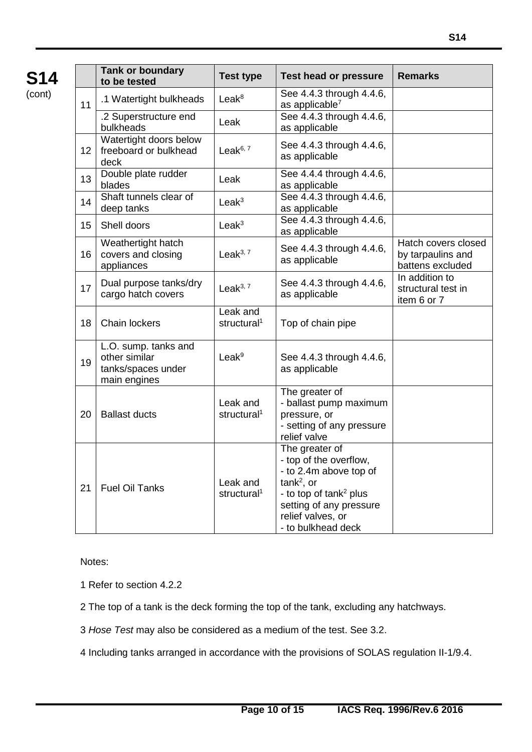|    | <b>Tank or boundary</b><br>to be tested                                     | <b>Test type</b>                    | <b>Test head or pressure</b>                                                                                                                                                                 | <b>Remarks</b>                                               |
|----|-----------------------------------------------------------------------------|-------------------------------------|----------------------------------------------------------------------------------------------------------------------------------------------------------------------------------------------|--------------------------------------------------------------|
| 11 | .1 Watertight bulkheads                                                     | Leak <sup>8</sup>                   | See 4.4.3 through 4.4.6,<br>as applicable <sup>7</sup>                                                                                                                                       |                                                              |
|    | .2 Superstructure end<br>bulkheads                                          | Leak                                | See 4.4.3 through 4.4.6,<br>as applicable                                                                                                                                                    |                                                              |
| 12 | Watertight doors below<br>freeboard or bulkhead<br>deck                     | Leak $6,7$                          | See 4.4.3 through 4.4.6,<br>as applicable                                                                                                                                                    |                                                              |
| 13 | Double plate rudder<br>blades                                               | Leak                                | See 4.4.4 through 4.4.6,<br>as applicable                                                                                                                                                    |                                                              |
| 14 | Shaft tunnels clear of<br>deep tanks                                        | Leak <sup>3</sup>                   | See 4.4.3 through 4.4.6,<br>as applicable                                                                                                                                                    |                                                              |
| 15 | Shell doors                                                                 | Leak <sup>3</sup>                   | See 4.4.3 through 4.4.6,<br>as applicable                                                                                                                                                    |                                                              |
| 16 | Weathertight hatch<br>covers and closing<br>appliances                      | Leak $3,7$                          | See 4.4.3 through 4.4.6,<br>as applicable                                                                                                                                                    | Hatch covers closed<br>by tarpaulins and<br>battens excluded |
| 17 | Dual purpose tanks/dry<br>cargo hatch covers                                | Leak $3,7$                          | See 4.4.3 through 4.4.6,<br>as applicable                                                                                                                                                    | In addition to<br>structural test in<br>item 6 or 7          |
| 18 | <b>Chain lockers</b>                                                        | Leak and<br>structural <sup>1</sup> | Top of chain pipe                                                                                                                                                                            |                                                              |
| 19 | L.O. sump. tanks and<br>other similar<br>tanks/spaces under<br>main engines | Leak <sup>9</sup>                   | See 4.4.3 through 4.4.6,<br>as applicable                                                                                                                                                    |                                                              |
| 20 | <b>Ballast ducts</b>                                                        | Leak and<br>structural <sup>1</sup> | The greater of<br>- ballast pump maximum<br>pressure, or<br>- setting of any pressure<br>relief valve                                                                                        |                                                              |
| 21 | <b>Fuel Oil Tanks</b>                                                       | Leak and<br>structural <sup>1</sup> | The greater of<br>top of the overflow,<br>- to 2.4m above top of<br>$tank2$ , or<br>- to top of tank <sup>2</sup> plus<br>setting of any pressure<br>relief valves, or<br>- to bulkhead deck |                                                              |

Notes:

1 Refer to section 4.2.2

2 The top of a tank is the deck forming the top of the tank, excluding any hatchways.

3 *Hose Test* may also be considered as a medium of the test. See 3.2.

4 Including tanks arranged in accordance with the provisions of SOLAS regulation II-1/9.4.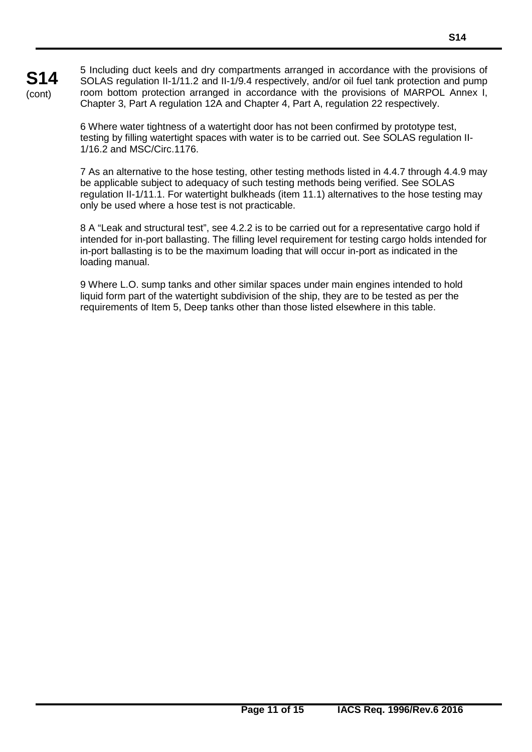5 Including duct keels and dry compartments arranged in accordance with the provisions of SOLAS regulation II-1/11.2 and II-1/9.4 respectively, and/or oil fuel tank protection and pump room bottom protection arranged in accordance with the provisions of MARPOL Annex I, Chapter 3, Part A regulation 12A and Chapter 4, Part A, regulation 22 respectively.

**S14** (cont)

> 6 Where water tightness of a watertight door has not been confirmed by prototype test, testing by filling watertight spaces with water is to be carried out. See SOLAS regulation II-1/16.2 and MSC/Circ.1176.

7 As an alternative to the hose testing, other testing methods listed in 4.4.7 through 4.4.9 may be applicable subject to adequacy of such testing methods being verified. See SOLAS regulation II-1/11.1. For watertight bulkheads (item 11.1) alternatives to the hose testing may only be used where a hose test is not practicable.

8 A "Leak and structural test", see 4.2.2 is to be carried out for a representative cargo hold if intended for in-port ballasting. The filling level requirement for testing cargo holds intended for in-port ballasting is to be the maximum loading that will occur in-port as indicated in the loading manual.

9 Where L.O. sump tanks and other similar spaces under main engines intended to hold liquid form part of the watertight subdivision of the ship, they are to be tested as per the requirements of Item 5, Deep tanks other than those listed elsewhere in this table.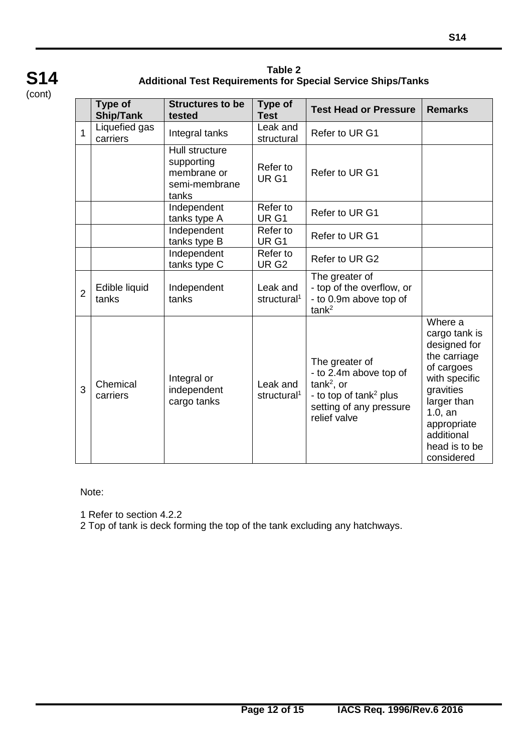

**Table 2 Additional Test Requirements for Special Service Ships/Tanks**

|                | <b>Type of</b><br><b>Ship/Tank</b> | <b>Structures to be</b><br>tested                                     | <b>Type of</b><br><b>Test</b>       | <b>Test Head or Pressure</b>                                                                                                              | <b>Remarks</b>                                                                                                                                                                                |
|----------------|------------------------------------|-----------------------------------------------------------------------|-------------------------------------|-------------------------------------------------------------------------------------------------------------------------------------------|-----------------------------------------------------------------------------------------------------------------------------------------------------------------------------------------------|
| $\mathbf{1}$   | Liquefied gas<br>carriers          | Integral tanks                                                        | Leak and<br>structural              | Refer to UR G1                                                                                                                            |                                                                                                                                                                                               |
|                |                                    | Hull structure<br>supporting<br>membrane or<br>semi-membrane<br>tanks | Refer to<br>UR <sub>G1</sub>        | Refer to UR G1                                                                                                                            |                                                                                                                                                                                               |
|                |                                    | Independent<br>tanks type A                                           | Refer to<br>UR <sub>G1</sub>        | Refer to UR G1                                                                                                                            |                                                                                                                                                                                               |
|                |                                    | Independent<br>tanks type B                                           | Refer to<br>UR <sub>G1</sub>        | Refer to UR G1                                                                                                                            |                                                                                                                                                                                               |
|                |                                    | Independent<br>tanks type C                                           | Refer to<br>UR <sub>G2</sub>        | Refer to UR G2                                                                                                                            |                                                                                                                                                                                               |
| $\overline{2}$ | Edible liquid<br>tanks             | Independent<br>tanks                                                  | Leak and<br>structural <sup>1</sup> | The greater of<br>- top of the overflow, or<br>- to 0.9m above top of<br>tank <sup>2</sup>                                                |                                                                                                                                                                                               |
| 3              | Chemical<br>carriers               | Integral or<br>independent<br>cargo tanks                             | Leak and<br>structural <sup>1</sup> | The greater of<br>- to 2.4m above top of<br>$tank2$ , or<br>- to top of tank <sup>2</sup> plus<br>setting of any pressure<br>relief valve | Where a<br>cargo tank is<br>designed for<br>the carriage<br>of cargoes<br>with specific<br>gravities<br>larger than<br>$1.0$ , an<br>appropriate<br>additional<br>head is to be<br>considered |

Note:

1 Refer to section 4.2.2

2 Top of tank is deck forming the top of the tank excluding any hatchways.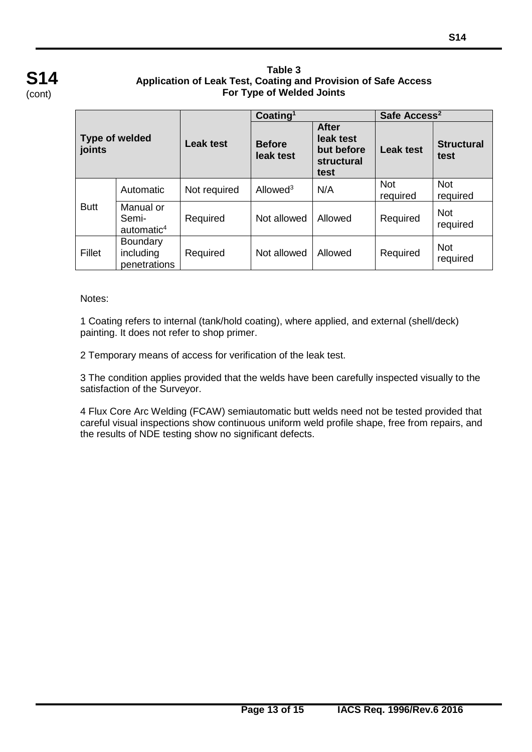#### **Table 3 Application of Leak Test, Coating and Provision of Safe Access For Type of Welded Joints**

| Type of welded<br>joints |                                              | <b>Leak test</b> | Coating <sup>1</sup>       |                                                               | Safe Access <sup>2</sup> |                           |
|--------------------------|----------------------------------------------|------------------|----------------------------|---------------------------------------------------------------|--------------------------|---------------------------|
|                          |                                              |                  | <b>Before</b><br>leak test | <b>After</b><br>leak test<br>but before<br>structural<br>test | <b>Leak test</b>         | <b>Structural</b><br>test |
|                          | Automatic                                    | Not required     | Allowed <sup>3</sup>       | N/A                                                           | <b>Not</b><br>required   | <b>Not</b><br>required    |
| <b>Butt</b>              | Manual or<br>Semi-<br>automatic $4$          | Required         | Not allowed                | Allowed                                                       | Required                 | <b>Not</b><br>required    |
| Fillet                   | <b>Boundary</b><br>including<br>penetrations | Required         | Not allowed                | Allowed                                                       | Required                 | <b>Not</b><br>required    |

#### Notes:

1 Coating refers to internal (tank/hold coating), where applied, and external (shell/deck) painting. It does not refer to shop primer.

2 Temporary means of access for verification of the leak test.

3 The condition applies provided that the welds have been carefully inspected visually to the satisfaction of the Surveyor.

4 Flux Core Arc Welding (FCAW) semiautomatic butt welds need not be tested provided that careful visual inspections show continuous uniform weld profile shape, free from repairs, and the results of NDE testing show no significant defects.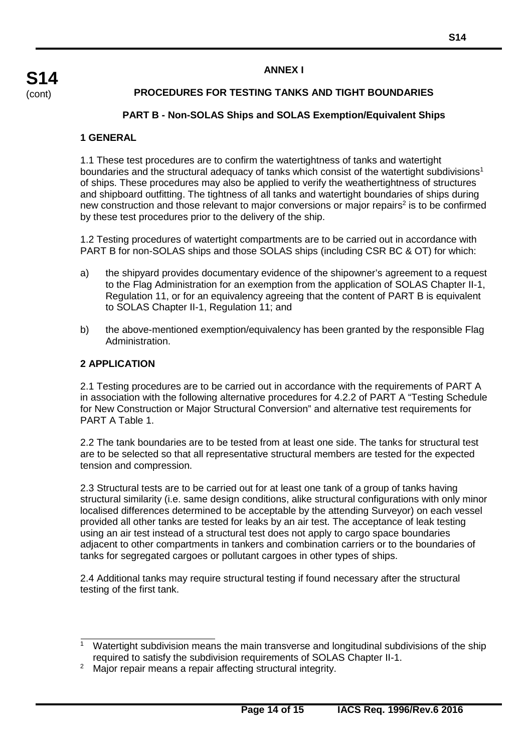#### **ANNEX I**

# **PROCEDURES FOR TESTING TANKS AND TIGHT BOUNDARIES**

#### **PART B - Non-SOLAS Ships and SOLAS Exemption/Equivalent Ships**

#### **1 GENERAL**

1.1 These test procedures are to confirm the watertightness of tanks and watertight boundaries and the structural adequacy of tanks which consist of the watertight subdivisions<sup>1</sup> of ships. These procedures may also be applied to verify the weathertightness of structures and shipboard outfitting. The tightness of all tanks and watertight boundaries of ships during new construction and those relevant to major conversions or major repairs<sup>2</sup> is to be confirmed by these test procedures prior to the delivery of the ship.

1.2 Testing procedures of watertight compartments are to be carried out in accordance with PART B for non-SOLAS ships and those SOLAS ships (including CSR BC & OT) for which:

- a) the shipyard provides documentary evidence of the shipowner's agreement to a request to the Flag Administration for an exemption from the application of SOLAS Chapter II-1, Regulation 11, or for an equivalency agreeing that the content of PART B is equivalent to SOLAS Chapter II-1, Regulation 11; and
- b) the above-mentioned exemption/equivalency has been granted by the responsible Flag Administration.

#### **2 APPLICATION**

2.1 Testing procedures are to be carried out in accordance with the requirements of PART A in association with the following alternative procedures for 4.2.2 of PART A "Testing Schedule for New Construction or Major Structural Conversion" and alternative test requirements for PART A Table 1.

2.2 The tank boundaries are to be tested from at least one side. The tanks for structural test are to be selected so that all representative structural members are tested for the expected tension and compression.

2.3 Structural tests are to be carried out for at least one tank of a group of tanks having structural similarity (i.e. same design conditions, alike structural configurations with only minor localised differences determined to be acceptable by the attending Surveyor) on each vessel provided all other tanks are tested for leaks by an air test. The acceptance of leak testing using an air test instead of a structural test does not apply to cargo space boundaries adjacent to other compartments in tankers and combination carriers or to the boundaries of tanks for segregated cargoes or pollutant cargoes in other types of ships.

2.4 Additional tanks may require structural testing if found necessary after the structural testing of the first tank.

<sup>&</sup>lt;sup>1</sup> Watertight subdivision means the main transverse and longitudinal subdivisions of the ship required to satisfy the subdivision requirements of SOLAS Chapter II-1.

<sup>&</sup>lt;sup>2</sup> Major repair means a repair affecting structural integrity.